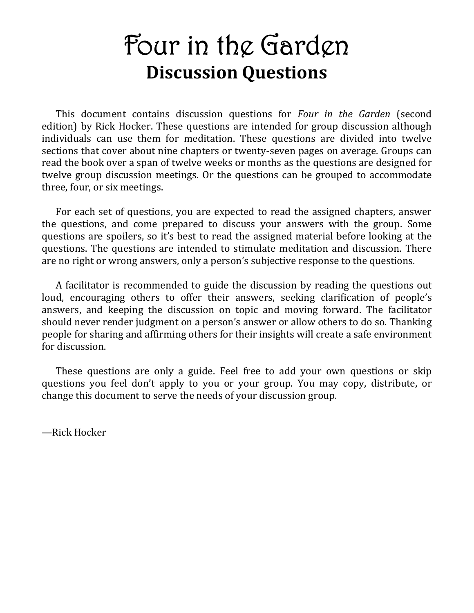# **Four in the Garden Discussion Questions**

This document contains discussion questions for *Four in the Garden* (second edition) by Rick Hocker. These questions are intended for group discussion although individuals can use them for meditation. These questions are divided into twelve sections that cover about nine chapters or twenty-seven pages on average. Groups can read the book over a span of twelve weeks or months as the questions are designed for twelve group discussion meetings. Or the questions can be grouped to accommodate three, four, or six meetings.

For each set of questions, you are expected to read the assigned chapters, answer the questions, and come prepared to discuss your answers with the group. Some questions are spoilers, so it's best to read the assigned material before looking at the questions. The questions are intended to stimulate meditation and discussion. There are no right or wrong answers, only a person's subjective response to the questions.

A facilitator is recommended to guide the discussion by reading the questions out loud, encouraging others to offer their answers, seeking clarification of people's answers, and keeping the discussion on topic and moving forward. The facilitator should never render judgment on a person's answer or allow others to do so. Thanking people for sharing and affirming others for their insights will create a safe environment for discussion.

These questions are only a guide. Feel free to add your own questions or skip questions you feel don't apply to you or your group. You may copy, distribute, or change this document to serve the needs of your discussion group.

—Rick Hocker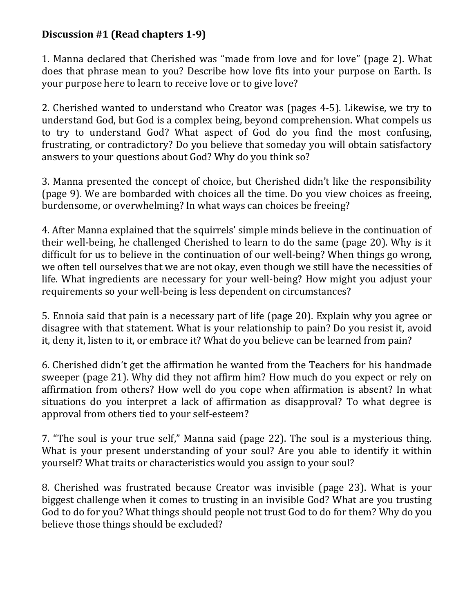## **Discussion #1 (Read chapters 1-9)**

1. Manna declared that Cherished was "made from love and for love" (page 2). What does that phrase mean to you? Describe how love fits into your purpose on Earth. Is your purpose here to learn to receive love or to give love?

2. Cherished wanted to understand who Creator was (pages 4-5). Likewise, we try to understand God, but God is a complex being, beyond comprehension. What compels us to try to understand God? What aspect of God do you find the most confusing, frustrating, or contradictory? Do you believe that someday you will obtain satisfactory answers to your questions about God? Why do you think so?

3. Manna presented the concept of choice, but Cherished didn't like the responsibility (page 9). We are bombarded with choices all the time. Do you view choices as freeing, burdensome, or overwhelming? In what ways can choices be freeing?

4. After Manna explained that the squirrels' simple minds believe in the continuation of their well-being, he challenged Cherished to learn to do the same (page 20). Why is it difficult for us to believe in the continuation of our well-being? When things go wrong, we often tell ourselves that we are not okay, even though we still have the necessities of life. What ingredients are necessary for your well-being? How might you adjust your requirements so your well-being is less dependent on circumstances?

5. Ennoia said that pain is a necessary part of life (page 20). Explain why you agree or disagree with that statement. What is your relationship to pain? Do you resist it, avoid it, deny it, listen to it, or embrace it? What do you believe can be learned from pain?

6. Cherished didn't get the affirmation he wanted from the Teachers for his handmade sweeper (page 21). Why did they not affirm him? How much do you expect or rely on affirmation from others? How well do you cope when affirmation is absent? In what situations do you interpret a lack of affirmation as disapproval? To what degree is approval from others tied to your self-esteem?

7. "The soul is your true self," Manna said (page 22). The soul is a mysterious thing. What is your present understanding of your soul? Are you able to identify it within yourself? What traits or characteristics would you assign to your soul?

8. Cherished was frustrated because Creator was invisible (page 23). What is your biggest challenge when it comes to trusting in an invisible God? What are you trusting God to do for you? What things should people not trust God to do for them? Why do you believe those things should be excluded?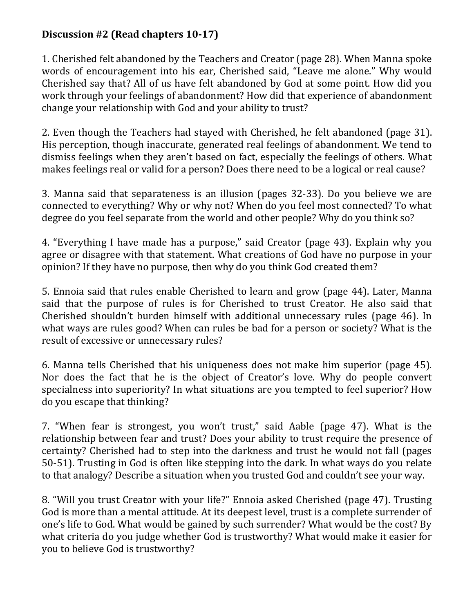# **Discussion #2 (Read chapters 10-17)**

1. Cherished felt abandoned by the Teachers and Creator (page 28). When Manna spoke words of encouragement into his ear, Cherished said, "Leave me alone." Why would Cherished say that? All of us have felt abandoned by God at some point. How did you work through your feelings of abandonment? How did that experience of abandonment change your relationship with God and your ability to trust?

2. Even though the Teachers had stayed with Cherished, he felt abandoned (page 31). His perception, though inaccurate, generated real feelings of abandonment. We tend to dismiss feelings when they aren't based on fact, especially the feelings of others. What makes feelings real or valid for a person? Does there need to be a logical or real cause?

3. Manna said that separateness is an illusion (pages 32-33). Do you believe we are connected to everything? Why or why not? When do you feel most connected? To what degree do you feel separate from the world and other people? Why do you think so?

4. "Everything I have made has a purpose," said Creator (page 43). Explain why you agree or disagree with that statement. What creations of God have no purpose in your opinion? If they have no purpose, then why do you think God created them?

5. Ennoia said that rules enable Cherished to learn and grow (page 44). Later, Manna said that the purpose of rules is for Cherished to trust Creator. He also said that Cherished shouldn't burden himself with additional unnecessary rules (page 46). In what ways are rules good? When can rules be bad for a person or society? What is the result of excessive or unnecessary rules?

6. Manna tells Cherished that his uniqueness does not make him superior (page 45). Nor does the fact that he is the object of Creator's love. Why do people convert specialness into superiority? In what situations are you tempted to feel superior? How do you escape that thinking?

7. "When fear is strongest, you won't trust," said Aable (page 47). What is the relationship between fear and trust? Does your ability to trust require the presence of certainty? Cherished had to step into the darkness and trust he would not fall (pages 50-51). Trusting in God is often like stepping into the dark. In what ways do you relate to that analogy? Describe a situation when you trusted God and couldn't see your way.

8. "Will you trust Creator with your life?" Ennoia asked Cherished (page 47). Trusting God is more than a mental attitude. At its deepest level, trust is a complete surrender of one's life to God. What would be gained by such surrender? What would be the cost? By what criteria do you judge whether God is trustworthy? What would make it easier for you to believe God is trustworthy?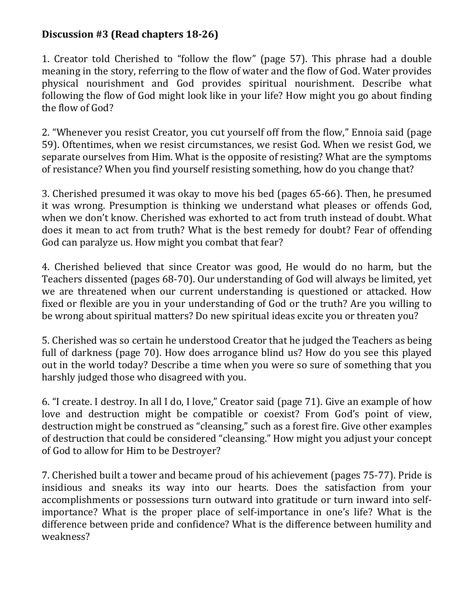# **Discussion #3 (Read chapters 18-26)**

1. Creator told Cherished to "follow the flow" (page 57). This phrase had a double meaning in the story, referring to the flow of water and the flow of God. Water provides physical nourishment and God provides spiritual nourishment. Describe what following the flow of God might look like in your life? How might you go about finding the flow of God?

2. "Whenever you resist Creator, you cut yourself off from the flow," Ennoia said (page 59). Oftentimes, when we resist circumstances, we resist God. When we resist God, we separate ourselves from Him. What is the opposite of resisting? What are the symptoms of resistance? When you find yourself resisting something, how do you change that?

3. Cherished presumed it was okay to move his bed (pages 65-66). Then, he presumed it was wrong. Presumption is thinking we understand what pleases or offends God, when we don't know. Cherished was exhorted to act from truth instead of doubt. What does it mean to act from truth? What is the best remedy for doubt? Fear of offending God can paralyze us. How might you combat that fear?

4. Cherished believed that since Creator was good, He would do no harm, but the Teachers dissented (pages 68-70). Our understanding of God will always be limited, yet we are threatened when our current understanding is questioned or attacked. How fixed or flexible are you in your understanding of God or the truth? Are you willing to be wrong about spiritual matters? Do new spiritual ideas excite you or threaten you?

5. Cherished was so certain he understood Creator that he judged the Teachers as being full of darkness (page 70). How does arrogance blind us? How do you see this played out in the world today? Describe a time when you were so sure of something that you harshly judged those who disagreed with you.

6. "I create. I destroy. In all I do, I love," Creator said (page 71). Give an example of how love and destruction might be compatible or coexist? From God's point of view, destruction might be construed as "cleansing," such as a forest fire. Give other examples of destruction that could be considered "cleansing." How might you adjust your concept of God to allow for Him to be Destroyer?

7. Cherished built a tower and became proud of his achievement (pages 75-77). Pride is insidious and sneaks its way into our hearts. Does the satisfaction from your accomplishments or possessions turn outward into gratitude or turn inward into selfimportance? What is the proper place of self-importance in one's life? What is the difference between pride and confidence? What is the difference between humility and weakness?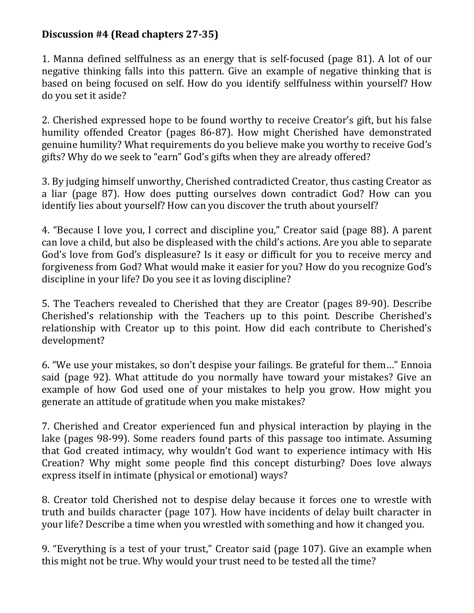# **Discussion #4 (Read chapters 27-35)**

1. Manna defined selffulness as an energy that is self-focused (page 81). A lot of our negative thinking falls into this pattern. Give an example of negative thinking that is based on being focused on self. How do you identify selffulness within yourself? How do you set it aside?

2. Cherished expressed hope to be found worthy to receive Creator's gift, but his false humility offended Creator (pages 86-87). How might Cherished have demonstrated genuine humility? What requirements do you believe make you worthy to receive God's gifts? Why do we seek to "earn" God's gifts when they are already offered?

3. By judging himself unworthy, Cherished contradicted Creator, thus casting Creator as a liar (page 87). How does putting ourselves down contradict God? How can you identify lies about yourself? How can you discover the truth about yourself?

4. "Because I love you, I correct and discipline you," Creator said (page 88). A parent can love a child, but also be displeased with the child's actions. Are you able to separate God's love from God's displeasure? Is it easy or difficult for you to receive mercy and forgiveness from God? What would make it easier for you? How do you recognize God's discipline in your life? Do you see it as loving discipline?

5. The Teachers revealed to Cherished that they are Creator (pages 89-90). Describe Cherished's relationship with the Teachers up to this point. Describe Cherished's relationship with Creator up to this point. How did each contribute to Cherished's development?

6. "We use your mistakes, so don't despise your failings. Be grateful for them…" Ennoia said (page 92). What attitude do you normally have toward your mistakes? Give an example of how God used one of your mistakes to help you grow. How might you generate an attitude of gratitude when you make mistakes?

7. Cherished and Creator experienced fun and physical interaction by playing in the lake (pages 98-99). Some readers found parts of this passage too intimate. Assuming that God created intimacy, why wouldn't God want to experience intimacy with His Creation? Why might some people find this concept disturbing? Does love always express itself in intimate (physical or emotional) ways?

8. Creator told Cherished not to despise delay because it forces one to wrestle with truth and builds character (page 107). How have incidents of delay built character in your life? Describe a time when you wrestled with something and how it changed you.

9. "Everything is a test of your trust," Creator said (page 107). Give an example when this might not be true. Why would your trust need to be tested all the time?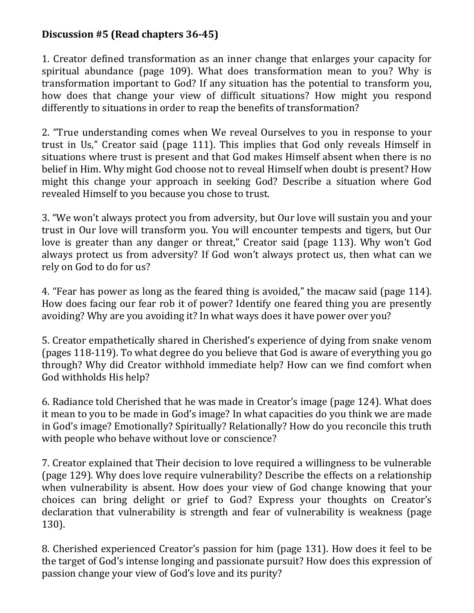# **Discussion #5 (Read chapters 36-45)**

1. Creator defined transformation as an inner change that enlarges your capacity for spiritual abundance (page 109). What does transformation mean to you? Why is transformation important to God? If any situation has the potential to transform you, how does that change your view of difficult situations? How might you respond differently to situations in order to reap the benefits of transformation?

2. "True understanding comes when We reveal Ourselves to you in response to your trust in Us," Creator said (page 111). This implies that God only reveals Himself in situations where trust is present and that God makes Himself absent when there is no belief in Him. Why might God choose not to reveal Himself when doubt is present? How might this change your approach in seeking God? Describe a situation where God revealed Himself to you because you chose to trust.

3. "We won't always protect you from adversity, but Our love will sustain you and your trust in Our love will transform you. You will encounter tempests and tigers, but Our love is greater than any danger or threat," Creator said (page 113). Why won't God always protect us from adversity? If God won't always protect us, then what can we rely on God to do for us?

4. "Fear has power as long as the feared thing is avoided," the macaw said (page 114). How does facing our fear rob it of power? Identify one feared thing you are presently avoiding? Why are you avoiding it? In what ways does it have power over you?

5. Creator empathetically shared in Cherished's experience of dying from snake venom (pages 118-119). To what degree do you believe that God is aware of everything you go through? Why did Creator withhold immediate help? How can we find comfort when God withholds His help?

6. Radiance told Cherished that he was made in Creator's image (page 124). What does it mean to you to be made in God's image? In what capacities do you think we are made in God's image? Emotionally? Spiritually? Relationally? How do you reconcile this truth with people who behave without love or conscience?

7. Creator explained that Their decision to love required a willingness to be vulnerable (page 129). Why does love require vulnerability? Describe the effects on a relationship when vulnerability is absent. How does your view of God change knowing that your choices can bring delight or grief to God? Express your thoughts on Creator's declaration that vulnerability is strength and fear of vulnerability is weakness (page 130).

8. Cherished experienced Creator's passion for him (page 131). How does it feel to be the target of God's intense longing and passionate pursuit? How does this expression of passion change your view of God's love and its purity?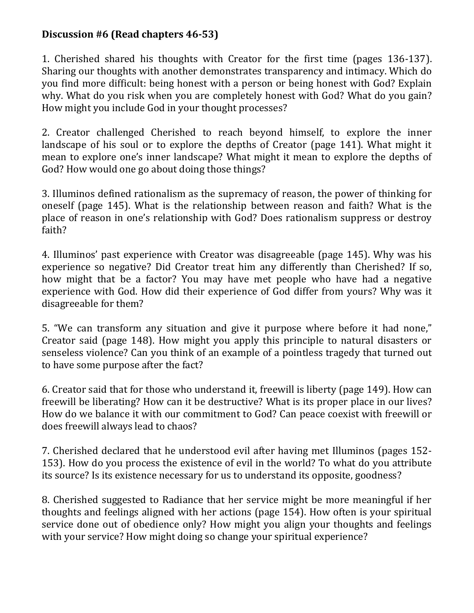# **Discussion #6 (Read chapters 46-53)**

1. Cherished shared his thoughts with Creator for the first time (pages 136-137). Sharing our thoughts with another demonstrates transparency and intimacy. Which do you find more difficult: being honest with a person or being honest with God? Explain why. What do you risk when you are completely honest with God? What do you gain? How might you include God in your thought processes?

2. Creator challenged Cherished to reach beyond himself, to explore the inner landscape of his soul or to explore the depths of Creator (page 141). What might it mean to explore one's inner landscape? What might it mean to explore the depths of God? How would one go about doing those things?

3. Illuminos defined rationalism as the supremacy of reason, the power of thinking for oneself (page 145). What is the relationship between reason and faith? What is the place of reason in one's relationship with God? Does rationalism suppress or destroy faith?

4. Illuminos' past experience with Creator was disagreeable (page 145). Why was his experience so negative? Did Creator treat him any differently than Cherished? If so, how might that be a factor? You may have met people who have had a negative experience with God. How did their experience of God differ from yours? Why was it disagreeable for them?

5. "We can transform any situation and give it purpose where before it had none," Creator said (page 148). How might you apply this principle to natural disasters or senseless violence? Can you think of an example of a pointless tragedy that turned out to have some purpose after the fact?

6. Creator said that for those who understand it, freewill is liberty (page 149). How can freewill be liberating? How can it be destructive? What is its proper place in our lives? How do we balance it with our commitment to God? Can peace coexist with freewill or does freewill always lead to chaos?

7. Cherished declared that he understood evil after having met Illuminos (pages 152- 153). How do you process the existence of evil in the world? To what do you attribute its source? Is its existence necessary for us to understand its opposite, goodness?

8. Cherished suggested to Radiance that her service might be more meaningful if her thoughts and feelings aligned with her actions (page 154). How often is your spiritual service done out of obedience only? How might you align your thoughts and feelings with your service? How might doing so change your spiritual experience?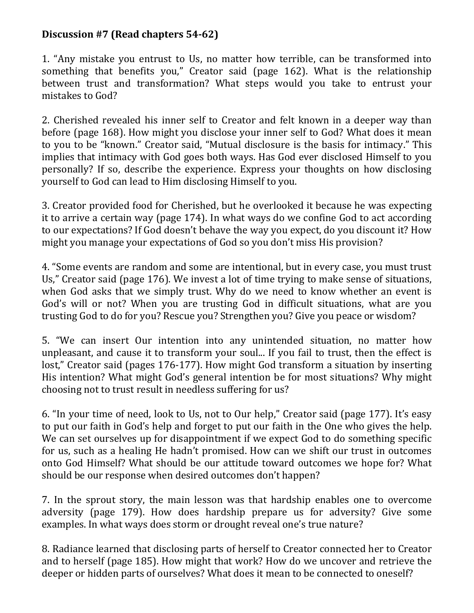#### **Discussion #7 (Read chapters 54-62)**

1. "Any mistake you entrust to Us, no matter how terrible, can be transformed into something that benefits you," Creator said (page 162). What is the relationship between trust and transformation? What steps would you take to entrust your mistakes to God?

2. Cherished revealed his inner self to Creator and felt known in a deeper way than before (page 168). How might you disclose your inner self to God? What does it mean to you to be "known." Creator said, "Mutual disclosure is the basis for intimacy." This implies that intimacy with God goes both ways. Has God ever disclosed Himself to you personally? If so, describe the experience. Express your thoughts on how disclosing yourself to God can lead to Him disclosing Himself to you.

3. Creator provided food for Cherished, but he overlooked it because he was expecting it to arrive a certain way (page 174). In what ways do we confine God to act according to our expectations? If God doesn't behave the way you expect, do you discount it? How might you manage your expectations of God so you don't miss His provision?

4. "Some events are random and some are intentional, but in every case, you must trust Us," Creator said (page 176). We invest a lot of time trying to make sense of situations, when God asks that we simply trust. Why do we need to know whether an event is God's will or not? When you are trusting God in difficult situations, what are you trusting God to do for you? Rescue you? Strengthen you? Give you peace or wisdom?

5. "We can insert Our intention into any unintended situation, no matter how unpleasant, and cause it to transform your soul... If you fail to trust, then the effect is lost," Creator said (pages 176-177). How might God transform a situation by inserting His intention? What might God's general intention be for most situations? Why might choosing not to trust result in needless suffering for us?

6. "In your time of need, look to Us, not to Our help," Creator said (page 177). It's easy to put our faith in God's help and forget to put our faith in the One who gives the help. We can set ourselves up for disappointment if we expect God to do something specific for us, such as a healing He hadn't promised. How can we shift our trust in outcomes onto God Himself? What should be our attitude toward outcomes we hope for? What should be our response when desired outcomes don't happen?

7. In the sprout story, the main lesson was that hardship enables one to overcome adversity (page 179). How does hardship prepare us for adversity? Give some examples. In what ways does storm or drought reveal one's true nature?

8. Radiance learned that disclosing parts of herself to Creator connected her to Creator and to herself (page 185). How might that work? How do we uncover and retrieve the deeper or hidden parts of ourselves? What does it mean to be connected to oneself?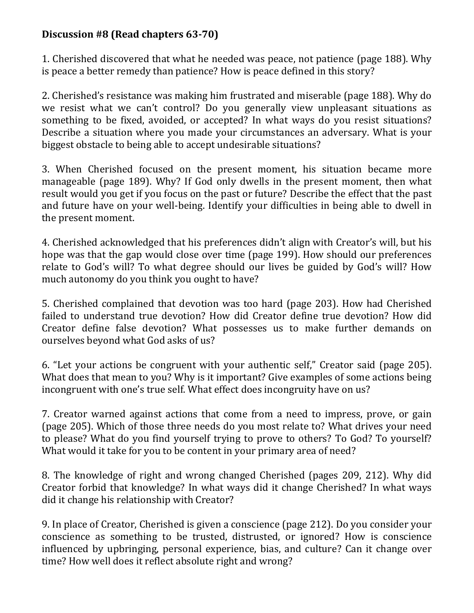# **Discussion #8 (Read chapters 63-70)**

1. Cherished discovered that what he needed was peace, not patience (page 188). Why is peace a better remedy than patience? How is peace defined in this story?

2. Cherished's resistance was making him frustrated and miserable (page 188). Why do we resist what we can't control? Do you generally view unpleasant situations as something to be fixed, avoided, or accepted? In what ways do you resist situations? Describe a situation where you made your circumstances an adversary. What is your biggest obstacle to being able to accept undesirable situations?

3. When Cherished focused on the present moment, his situation became more manageable (page 189). Why? If God only dwells in the present moment, then what result would you get if you focus on the past or future? Describe the effect that the past and future have on your well-being. Identify your difficulties in being able to dwell in the present moment.

4. Cherished acknowledged that his preferences didn't align with Creator's will, but his hope was that the gap would close over time (page 199). How should our preferences relate to God's will? To what degree should our lives be guided by God's will? How much autonomy do you think you ought to have?

5. Cherished complained that devotion was too hard (page 203). How had Cherished failed to understand true devotion? How did Creator define true devotion? How did Creator define false devotion? What possesses us to make further demands on ourselves beyond what God asks of us?

6. "Let your actions be congruent with your authentic self," Creator said (page 205). What does that mean to you? Why is it important? Give examples of some actions being incongruent with one's true self. What effect does incongruity have on us?

7. Creator warned against actions that come from a need to impress, prove, or gain (page 205). Which of those three needs do you most relate to? What drives your need to please? What do you find yourself trying to prove to others? To God? To yourself? What would it take for you to be content in your primary area of need?

8. The knowledge of right and wrong changed Cherished (pages 209, 212). Why did Creator forbid that knowledge? In what ways did it change Cherished? In what ways did it change his relationship with Creator?

9. In place of Creator, Cherished is given a conscience (page 212). Do you consider your conscience as something to be trusted, distrusted, or ignored? How is conscience influenced by upbringing, personal experience, bias, and culture? Can it change over time? How well does it reflect absolute right and wrong?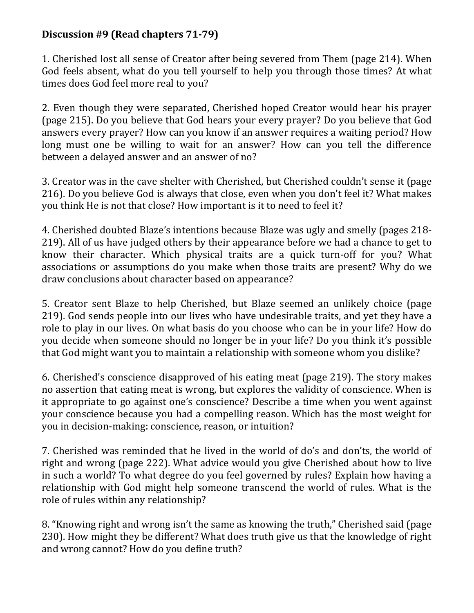# **Discussion #9 (Read chapters 71-79)**

1. Cherished lost all sense of Creator after being severed from Them (page 214). When God feels absent, what do you tell yourself to help you through those times? At what times does God feel more real to you?

2. Even though they were separated, Cherished hoped Creator would hear his prayer (page 215). Do you believe that God hears your every prayer? Do you believe that God answers every prayer? How can you know if an answer requires a waiting period? How long must one be willing to wait for an answer? How can you tell the difference between a delayed answer and an answer of no?

3. Creator was in the cave shelter with Cherished, but Cherished couldn't sense it (page 216). Do you believe God is always that close, even when you don't feel it? What makes you think He is not that close? How important is it to need to feel it?

4. Cherished doubted Blaze's intentions because Blaze was ugly and smelly (pages 218- 219). All of us have judged others by their appearance before we had a chance to get to know their character. Which physical traits are a quick turn-off for you? What associations or assumptions do you make when those traits are present? Why do we draw conclusions about character based on appearance?

5. Creator sent Blaze to help Cherished, but Blaze seemed an unlikely choice (page 219). God sends people into our lives who have undesirable traits, and yet they have a role to play in our lives. On what basis do you choose who can be in your life? How do you decide when someone should no longer be in your life? Do you think it's possible that God might want you to maintain a relationship with someone whom you dislike?

6. Cherished's conscience disapproved of his eating meat (page 219). The story makes no assertion that eating meat is wrong, but explores the validity of conscience. When is it appropriate to go against one's conscience? Describe a time when you went against your conscience because you had a compelling reason. Which has the most weight for you in decision-making: conscience, reason, or intuition?

7. Cherished was reminded that he lived in the world of do's and don'ts, the world of right and wrong (page 222). What advice would you give Cherished about how to live in such a world? To what degree do you feel governed by rules? Explain how having a relationship with God might help someone transcend the world of rules. What is the role of rules within any relationship?

8. "Knowing right and wrong isn't the same as knowing the truth," Cherished said (page 230). How might they be different? What does truth give us that the knowledge of right and wrong cannot? How do you define truth?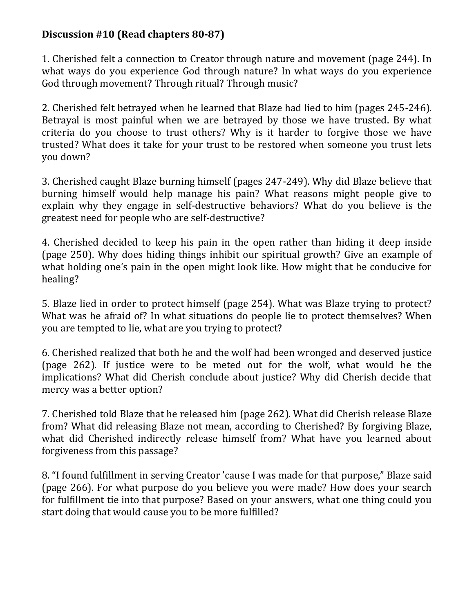# **Discussion #10 (Read chapters 80-87)**

1. Cherished felt a connection to Creator through nature and movement (page 244). In what ways do you experience God through nature? In what ways do you experience God through movement? Through ritual? Through music?

2. Cherished felt betrayed when he learned that Blaze had lied to him (pages 245-246). Betrayal is most painful when we are betrayed by those we have trusted. By what criteria do you choose to trust others? Why is it harder to forgive those we have trusted? What does it take for your trust to be restored when someone you trust lets you down?

3. Cherished caught Blaze burning himself (pages 247-249). Why did Blaze believe that burning himself would help manage his pain? What reasons might people give to explain why they engage in self-destructive behaviors? What do you believe is the greatest need for people who are self-destructive?

4. Cherished decided to keep his pain in the open rather than hiding it deep inside (page 250). Why does hiding things inhibit our spiritual growth? Give an example of what holding one's pain in the open might look like. How might that be conducive for healing?

5. Blaze lied in order to protect himself (page 254). What was Blaze trying to protect? What was he afraid of? In what situations do people lie to protect themselves? When you are tempted to lie, what are you trying to protect?

6. Cherished realized that both he and the wolf had been wronged and deserved justice (page 262). If justice were to be meted out for the wolf, what would be the implications? What did Cherish conclude about justice? Why did Cherish decide that mercy was a better option?

7. Cherished told Blaze that he released him (page 262). What did Cherish release Blaze from? What did releasing Blaze not mean, according to Cherished? By forgiving Blaze, what did Cherished indirectly release himself from? What have you learned about forgiveness from this passage?

8. "I found fulfillment in serving Creator 'cause I was made for that purpose," Blaze said (page 266). For what purpose do you believe you were made? How does your search for fulfillment tie into that purpose? Based on your answers, what one thing could you start doing that would cause you to be more fulfilled?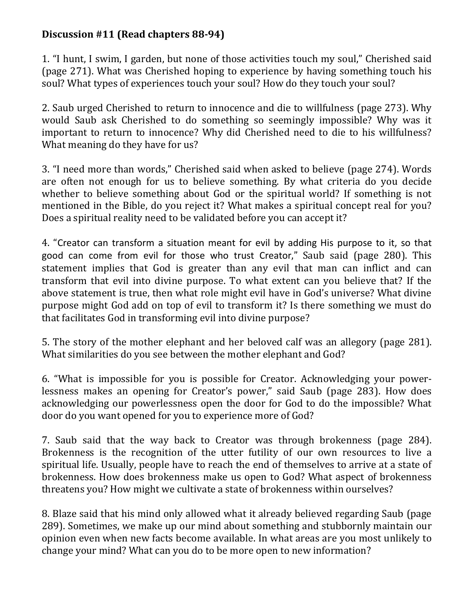# **Discussion #11 (Read chapters 88-94)**

1. "I hunt, I swim, I garden, but none of those activities touch my soul," Cherished said (page 271). What was Cherished hoping to experience by having something touch his soul? What types of experiences touch your soul? How do they touch your soul?

2. Saub urged Cherished to return to innocence and die to willfulness (page 273). Why would Saub ask Cherished to do something so seemingly impossible? Why was it important to return to innocence? Why did Cherished need to die to his willfulness? What meaning do they have for us?

3. "I need more than words," Cherished said when asked to believe (page 274). Words are often not enough for us to believe something. By what criteria do you decide whether to believe something about God or the spiritual world? If something is not mentioned in the Bible, do you reject it? What makes a spiritual concept real for you? Does a spiritual reality need to be validated before you can accept it?

4. "Creator can transform a situation meant for evil by adding His purpose to it, so that good can come from evil for those who trust Creator," Saub said (page 280). This statement implies that God is greater than any evil that man can inflict and can transform that evil into divine purpose. To what extent can you believe that? If the above statement is true, then what role might evil have in God's universe? What divine purpose might God add on top of evil to transform it? Is there something we must do that facilitates God in transforming evil into divine purpose?

5. The story of the mother elephant and her beloved calf was an allegory (page 281). What similarities do you see between the mother elephant and God?

6. "What is impossible for you is possible for Creator. Acknowledging your powerlessness makes an opening for Creator's power," said Saub (page 283). How does acknowledging our powerlessness open the door for God to do the impossible? What door do you want opened for you to experience more of God?

7. Saub said that the way back to Creator was through brokenness (page 284). Brokenness is the recognition of the utter futility of our own resources to live a spiritual life. Usually, people have to reach the end of themselves to arrive at a state of brokenness. How does brokenness make us open to God? What aspect of brokenness threatens you? How might we cultivate a state of brokenness within ourselves?

8. Blaze said that his mind only allowed what it already believed regarding Saub (page 289). Sometimes, we make up our mind about something and stubbornly maintain our opinion even when new facts become available. In what areas are you most unlikely to change your mind? What can you do to be more open to new information?